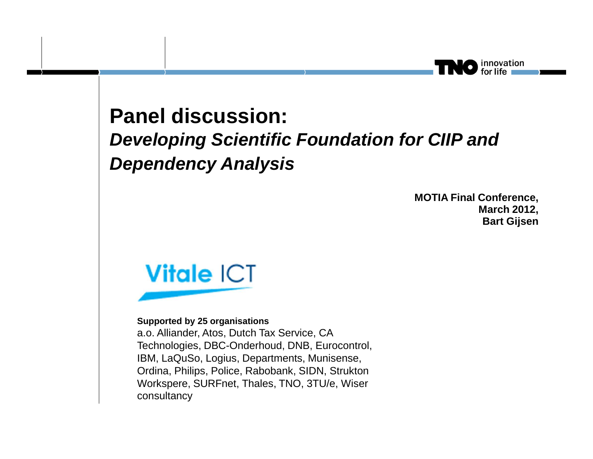#### **Panel discussion:Developing Scientific Foundation for CIIP and Dependency Analysis**

**MOTIA Final Conference, March 2012, Bart Gijsen**

finnovation<br>for life



#### **Supported by 25 organisations**

a.o. Alliander, Atos, Dutch Tax Service, CA Technologies, DBC-Onderhoud, DNB, Eurocontrol, IBM, LaQuSo, Logius, Departments, Munisense, Ordina, Philips, Police, Rabobank, SIDN, Strukton Workspere, SURFnet, Thales, TNO, 3TU/e, Wiser consultancy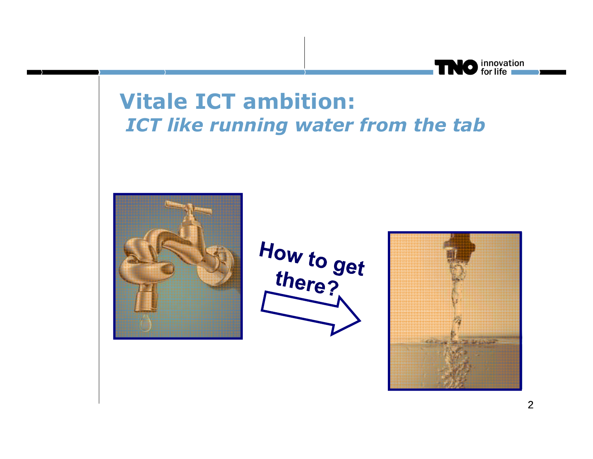

### **Vitale ICT ambition:***ICT like running water from the tab*



How to get<br>there?

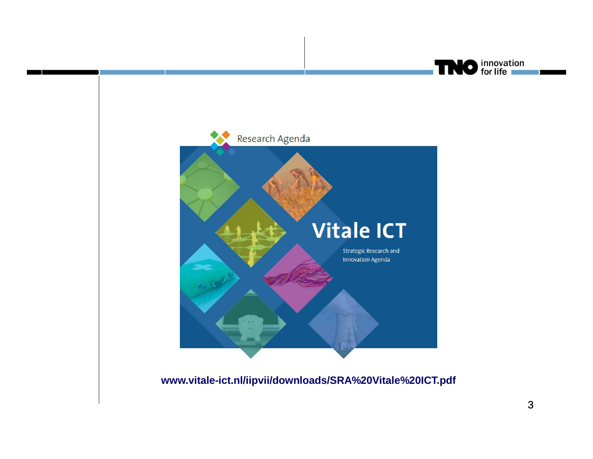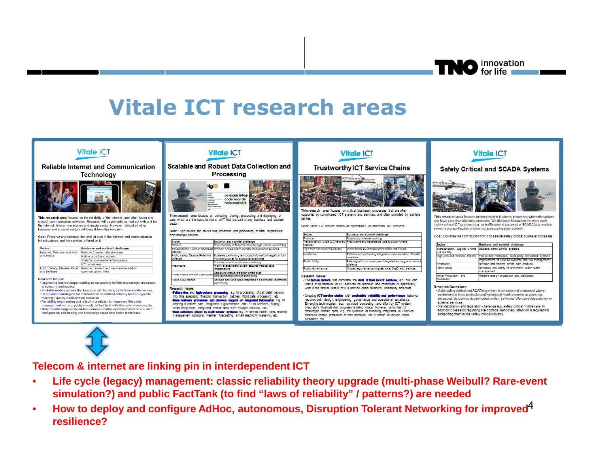innovation<br>for life

# **Vitale ICT research areas**

| <b>Vitale ICT</b><br><b>Reliable Internet and Communication</b>                                                                                                                                                                                                                                                                                                                                                                                                                                                                                                                                                                                                                                    | <b>Vitale ICT</b><br>Scalable and Robust Data Collection and<br><b>Processing</b><br><b>Nail</b><br><b>haven</b><br>Je eigen inlog-<br>code voor de<br><b>Wind State</b><br>hele overheid.<br><b>USINO KA</b><br><b>No pretente</b><br><b><i><u><u><b>Raily dis addressed</b></u></u></i></b><br>This research area focuses on collecting, storing, processing and displaying of<br>data, which are the basic functions of IT that are part of any business and societal<br>sector.<br>Goal: High volume and failure free collection and processing of data, in particular<br>from multiple sources.<br>sprelinest and societal challenge<br>Sector                                                                                                                                                                                   |                                                                                                                                                                                                                                             | <b>Vitale ICT</b><br><b>Trustworthy ICT Service Chains</b><br>This research area focuses on critical (business) processes that are often<br>supported by complicated ICT systems and services, and often provided by multiple<br>parties.<br>Goal: Make ICT service chains as dependable as individual ICT services.                                                                                                                                                                                                                                                                                                                                                                                                                                                                               |                                                                                                                            | <b>Vitale ICT</b><br><b>Safety Critical and SCADA Systems</b><br>This research area focuses on integrated in business processes where disruptions<br>can have very dramatic consequences. We distinguish between the more open<br>safety critical ICT systems (e.g. air traffic control systems) or SCADA (e.g. nuclear<br>power, water purification or chemical processing plant control).                                                                                                                                                                                                                        |                                                                                                                         |
|----------------------------------------------------------------------------------------------------------------------------------------------------------------------------------------------------------------------------------------------------------------------------------------------------------------------------------------------------------------------------------------------------------------------------------------------------------------------------------------------------------------------------------------------------------------------------------------------------------------------------------------------------------------------------------------------------|---------------------------------------------------------------------------------------------------------------------------------------------------------------------------------------------------------------------------------------------------------------------------------------------------------------------------------------------------------------------------------------------------------------------------------------------------------------------------------------------------------------------------------------------------------------------------------------------------------------------------------------------------------------------------------------------------------------------------------------------------------------------------------------------------------------------------------------|---------------------------------------------------------------------------------------------------------------------------------------------------------------------------------------------------------------------------------------------|----------------------------------------------------------------------------------------------------------------------------------------------------------------------------------------------------------------------------------------------------------------------------------------------------------------------------------------------------------------------------------------------------------------------------------------------------------------------------------------------------------------------------------------------------------------------------------------------------------------------------------------------------------------------------------------------------------------------------------------------------------------------------------------------------|----------------------------------------------------------------------------------------------------------------------------|--------------------------------------------------------------------------------------------------------------------------------------------------------------------------------------------------------------------------------------------------------------------------------------------------------------------------------------------------------------------------------------------------------------------------------------------------------------------------------------------------------------------------------------------------------------------------------------------------------------------|-------------------------------------------------------------------------------------------------------------------------|
| Technology                                                                                                                                                                                                                                                                                                                                                                                                                                                                                                                                                                                                                                                                                         |                                                                                                                                                                                                                                                                                                                                                                                                                                                                                                                                                                                                                                                                                                                                                                                                                                       |                                                                                                                                                                                                                                             |                                                                                                                                                                                                                                                                                                                                                                                                                                                                                                                                                                                                                                                                                                                                                                                                    |                                                                                                                            |                                                                                                                                                                                                                                                                                                                                                                                                                                                                                                                                                                                                                    |                                                                                                                         |
| This research area focuses on the reliability of the Internet, and other (open and<br>closed) communication networks. Research will be primarily carried out with and for<br>the Internet, telecommunication and media sector. However, almost all other<br>business and societal sectors will benefit from this research.                                                                                                                                                                                                                                                                                                                                                                         |                                                                                                                                                                                                                                                                                                                                                                                                                                                                                                                                                                                                                                                                                                                                                                                                                                       |                                                                                                                                                                                                                                             |                                                                                                                                                                                                                                                                                                                                                                                                                                                                                                                                                                                                                                                                                                                                                                                                    |                                                                                                                            |                                                                                                                                                                                                                                                                                                                                                                                                                                                                                                                                                                                                                    |                                                                                                                         |
| Goal: Preserve and increase the level of trust in the Internet and communication                                                                                                                                                                                                                                                                                                                                                                                                                                                                                                                                                                                                                   |                                                                                                                                                                                                                                                                                                                                                                                                                                                                                                                                                                                                                                                                                                                                                                                                                                       |                                                                                                                                                                                                                                             | <b>Beoton</b>                                                                                                                                                                                                                                                                                                                                                                                                                                                                                                                                                                                                                                                                                                                                                                                      | Business and societal challenge                                                                                            | Goal: Optimize the contribution of ICT to assure safety critical business processes.                                                                                                                                                                                                                                                                                                                                                                                                                                                                                                                               |                                                                                                                         |
| infrastructures and the services offered on it.                                                                                                                                                                                                                                                                                                                                                                                                                                                                                                                                                                                                                                                    |                                                                                                                                                                                                                                                                                                                                                                                                                                                                                                                                                                                                                                                                                                                                                                                                                                       |                                                                                                                                                                                                                                             | Finance<br>Trustworthy Internet banking<br>Transportation, Logistic Chars are Predictable and dependable logistic supply chairs                                                                                                                                                                                                                                                                                                                                                                                                                                                                                                                                                                                                                                                                    |                                                                                                                            |                                                                                                                                                                                                                                                                                                                                                                                                                                                                                                                                                                                                                    |                                                                                                                         |
|                                                                                                                                                                                                                                                                                                                                                                                                                                                                                                                                                                                                                                                                                                    | Finance                                                                                                                                                                                                                                                                                                                                                                                                                                                                                                                                                                                                                                                                                                                                                                                                                               | Dependability of financial data and (high volume) processing                                                                                                                                                                                | Mobility.                                                                                                                                                                                                                                                                                                                                                                                                                                                                                                                                                                                                                                                                                                                                                                                          |                                                                                                                            | Sector                                                                                                                                                                                                                                                                                                                                                                                                                                                                                                                                                                                                             | Business and societal challenge                                                                                         |
| Sector<br><b>Business and societal challenge</b><br>Internet, Telecommunication Reliable Internet infrastructure<br>and Media<br>Mobile broadband access                                                                                                                                                                                                                                                                                                                                                                                                                                                                                                                                           | Mobility<br>Defense                                                                                                                                                                                                                                                                                                                                                                                                                                                                                                                                                                                                                                                                                                                                                                                                                   | Transportation. Logistic Chairs and Reliable sensor-based mobility management solutions<br>Fublic safety. Disaster Relief and 18 calable, performing and robust information integration from<br>multiple sources for situational awareness. | High-tech and Process industry<br><b>Jewithcam</b>                                                                                                                                                                                                                                                                                                                                                                                                                                                                                                                                                                                                                                                                                                                                                 | (Embedded) solutions for dependable CT chains<br>Reliable and performing integration and automation of health<br>care data | land Mobility<br>High-tech and Process Industry                                                                                                                                                                                                                                                                                                                                                                                                                                                                                                                                                                    | Transportation, Logistic Chains Scalable traffic control systems<br>Failure-free composed, multi-party embedded systems |
| Scalable multimedia infrastructure<br>ICT robustness                                                                                                                                                                                                                                                                                                                                                                                                                                                                                                                                                                                                                                               | lealthcare                                                                                                                                                                                                                                                                                                                                                                                                                                                                                                                                                                                                                                                                                                                                                                                                                            | Boalable remote health care monitoring<br>Highly evallable and privacy assured medical data                                                                                                                                                 | Foběic 1988y                                                                                                                                                                                                                                                                                                                                                                                                                                                                                                                                                                                                                                                                                                                                                                                       | Bafe migration to more open, integrated and upgraded control<br>svistenns                                                  | Healthcare                                                                                                                                                                                                                                                                                                                                                                                                                                                                                                                                                                                                         | improvement of SCADA systems and risk management<br>Reliable and efficient health care products                         |
| Public Safety, Disaster Relief Reliable, resilient and recoverable ad-hoc<br>and Defense<br>communication infra                                                                                                                                                                                                                                                                                                                                                                                                                                                                                                                                                                                    |                                                                                                                                                                                                                                                                                                                                                                                                                                                                                                                                                                                                                                                                                                                                                                                                                                       | nature base bone                                                                                                                                                                                                                            | Fublic Governance                                                                                                                                                                                                                                                                                                                                                                                                                                                                                                                                                                                                                                                                                                                                                                                  | Trusted e-governance (digitaal loket, DigiD, etc.) services                                                                | Public Utility                                                                                                                                                                                                                                                                                                                                                                                                                                                                                                                                                                                                     | Reliability and safety of unmanned waste-water<br>Imanagement                                                           |
| <b>Research Issues:</b><br>. Upgrading Internet dependability to successfully fulfill its increasingly critical role<br>in economy and society.<br>. Scalable mobile access that keeps up with booming traffic from mobile devices.<br>. Deployment strategies for combinations of content delivery technologies to<br>meet high quality media stream explosion.<br>. Reliability engineering and reliability prediction for improved life cycle<br>management with e.g. publicly available 'fact tank' with life-cycle reference data.<br>. More reliable large-scale ad-hoc communication systems based on a.o. auto-<br>configuration, self-healing and knowledge based data fusion techniques. | Designing mature electricity smart grids<br>Power Production and Distributio<br>cobust management of smart grids<br>Public Governance<br>Reliable and large scale integrated e-governance information<br>processing<br>Research Issues:<br>.Fallure free and High-volume processing e.g. in processing of call detail records<br>into bills, executing financial transaction batches, flight data processing, etc.<br>. Base business processes and decision support on integrated information e.g. in<br>sharing of patient data, integrated e-governance and PPDR services, supply<br>chain integration, integrated sensor data from multiple sources, etc.<br>. Data collection driven by multi-sensor systems e.g. in remote health care, mobility<br>management solutions, weather forecasting, smart electricity metering, etc. |                                                                                                                                                                                                                                             | Research Issues:<br>. The human factors that dominate the level of trust in ICT services, e.g. how can<br>user's trust behavior in ICT services be modeled and monitored or specifically,<br>what is the factual status of ICT service chain reliability, scalability and trust?<br>. Creating ICT service chains with predictable reliability and performance behavior<br>requires both design, engineering, governance and operational excellence.<br>Emerging technologies, such as cloud computing, and effort by ICT system.<br>Integrators illustrate that progress is being made, however, a number of<br>challenges remain open, e.g. the question of modeling integrated ICT service<br>chains to enable prediction of their behavior, the question of service chain<br>scalability, etc. |                                                                                                                            | Power Production and<br>Reliable energy production and distribution.<br><b>Distribution</b><br><b>Research Questions:</b><br>. Make safety critical and SCADA systems more open and unmanned where<br>control on the three particular and notoriously hard to control aspects has<br>increased: disruptions due to human action, software failure and dependency on<br>external services.<br>·Standardization and legislation challenge e.g. safety critical middleware. In<br>addition to research regarding the controls mentioned, attention is required for<br>embedding them in the safety critical industry. |                                                                                                                         |

**Telecom & internet are linking pin in interdependent ICT** 

- • **Life cycle (legacy) management: classic reliability theory upgrade (multi-phase Weibull? Rare-event simulation?) and public FactTank (to find "laws of reliability" / patterns?) are needed**
- How to deploy and configure AdHoc, autonomous, Disruption Tolerant Networking for improved<sup>4</sup>  $\bullet$ **resilience?**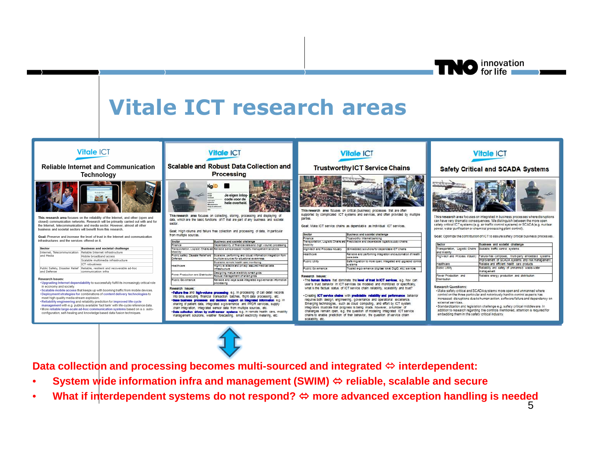innovation<br>for life

## **Vitale ICT research areas**

| <b>Vitale ICT</b><br><b>Reliable Internet and Communication</b><br>Technology                                                                                                                                                                                                                                                                                                                                                                                                                                                                                                                                                                                                              | <b>Vitale ICT</b><br><b>Scalable and Robust Data Collection and</b><br>Processing<br><b>Hail</b><br>$\frac{1}{2}$<br>Je eigen inlog-<br>code voor de<br>aiw sare<br>hele overheid.<br><b>No pretent</b><br><b><i><u><u><b>Raily dis addressed</b></u></u></i></b><br>This research area focuses on collecting, storing, processing and displaying of<br>data, which are the basic functions of IT that are part of any business and societal<br>sector.<br>Goal: High volume and failure free collection and processing of data. In particular<br>from multiple sources.<br>Sector<br>sprelinest and societal challenge                                                                                            |                                                                                                 | <b>Vitale ICT</b><br><b>Trustworthy ICT Service Chains</b><br>This research area focuses on critical (business) processes that are often<br>supported by complicated ICT systems and services, and often provided by multiple-<br>parties.<br>Goal: Make ICT service chains as dependable as individual ICT services.<br><b>Beotor</b><br>Business and societal challenge<br>Finance<br>Instituciony internet banking<br>Transportation, Logistic Chars are Predictable and dependable logistic supply chairs.                                                                                                                                                                                                                                                                 |                                                                           | <b>Vitale ICT</b><br><b>Safety Critical and SCADA Systems</b><br>This research area focuses on integrated in business processes where disruptions<br>can have very dramatic consequences. We distinguish between the more open<br>safety critical ICT systems (e.g. air traffic control systems) or SCADA (e.g. nuclear<br>power, water purification or chemical processing plant control).<br>Goal: Optimize the contribution of ICT to assure safety critical business processes.                                         |                                                                  |
|--------------------------------------------------------------------------------------------------------------------------------------------------------------------------------------------------------------------------------------------------------------------------------------------------------------------------------------------------------------------------------------------------------------------------------------------------------------------------------------------------------------------------------------------------------------------------------------------------------------------------------------------------------------------------------------------|--------------------------------------------------------------------------------------------------------------------------------------------------------------------------------------------------------------------------------------------------------------------------------------------------------------------------------------------------------------------------------------------------------------------------------------------------------------------------------------------------------------------------------------------------------------------------------------------------------------------------------------------------------------------------------------------------------------------|-------------------------------------------------------------------------------------------------|--------------------------------------------------------------------------------------------------------------------------------------------------------------------------------------------------------------------------------------------------------------------------------------------------------------------------------------------------------------------------------------------------------------------------------------------------------------------------------------------------------------------------------------------------------------------------------------------------------------------------------------------------------------------------------------------------------------------------------------------------------------------------------|---------------------------------------------------------------------------|-----------------------------------------------------------------------------------------------------------------------------------------------------------------------------------------------------------------------------------------------------------------------------------------------------------------------------------------------------------------------------------------------------------------------------------------------------------------------------------------------------------------------------|------------------------------------------------------------------|
| This research area focuses on the reliability of the Internet, and other (open and<br>closed) communication networks. Research will be primarily carried out with and for<br>the Internet, telecommunication and media sector. However, almost all other<br>business and societal sectors will benefit from this research.<br>Goal: Preserve and increase the level of trust in the Internet and communication                                                                                                                                                                                                                                                                             |                                                                                                                                                                                                                                                                                                                                                                                                                                                                                                                                                                                                                                                                                                                    |                                                                                                 |                                                                                                                                                                                                                                                                                                                                                                                                                                                                                                                                                                                                                                                                                                                                                                                |                                                                           |                                                                                                                                                                                                                                                                                                                                                                                                                                                                                                                             |                                                                  |
| infrastructures and the services offered on it.                                                                                                                                                                                                                                                                                                                                                                                                                                                                                                                                                                                                                                            |                                                                                                                                                                                                                                                                                                                                                                                                                                                                                                                                                                                                                                                                                                                    |                                                                                                 |                                                                                                                                                                                                                                                                                                                                                                                                                                                                                                                                                                                                                                                                                                                                                                                |                                                                           |                                                                                                                                                                                                                                                                                                                                                                                                                                                                                                                             |                                                                  |
|                                                                                                                                                                                                                                                                                                                                                                                                                                                                                                                                                                                                                                                                                            | Finance                                                                                                                                                                                                                                                                                                                                                                                                                                                                                                                                                                                                                                                                                                            | Dependability of financial data and (high volume) processing                                    | Mobility                                                                                                                                                                                                                                                                                                                                                                                                                                                                                                                                                                                                                                                                                                                                                                       |                                                                           | Sector                                                                                                                                                                                                                                                                                                                                                                                                                                                                                                                      | Business and societal challenge                                  |
| Sector<br><b>Business and societal challenge</b><br>Internet, Telecommunication Reliable Internet infrastructure                                                                                                                                                                                                                                                                                                                                                                                                                                                                                                                                                                           | Mobility                                                                                                                                                                                                                                                                                                                                                                                                                                                                                                                                                                                                                                                                                                           | Transportation. Logistic Chars and Reliable sensor-based mobility management solutions          | High-tech and Process industry                                                                                                                                                                                                                                                                                                                                                                                                                                                                                                                                                                                                                                                                                                                                                 | (Embedded) solutions for dependable ICT chains                            | and Mobility                                                                                                                                                                                                                                                                                                                                                                                                                                                                                                                | Transportation, Logistic Chains Scalable traffic control systems |
| and Media<br>Mobile broadband access                                                                                                                                                                                                                                                                                                                                                                                                                                                                                                                                                                                                                                                       |                                                                                                                                                                                                                                                                                                                                                                                                                                                                                                                                                                                                                                                                                                                    | Public safety. Disaster Relief and Boalable, performing and robust information integration from | <b>Healthcam</b>                                                                                                                                                                                                                                                                                                                                                                                                                                                                                                                                                                                                                                                                                                                                                               | Reliable and performing integration and automation of health              | High-tech and Process Industry                                                                                                                                                                                                                                                                                                                                                                                                                                                                                              | Failure-free composed, multi-party embedded systems              |
| Scalable multimedia infrastructure                                                                                                                                                                                                                                                                                                                                                                                                                                                                                                                                                                                                                                                         | Defense                                                                                                                                                                                                                                                                                                                                                                                                                                                                                                                                                                                                                                                                                                            | multiple sources for situational awareness                                                      |                                                                                                                                                                                                                                                                                                                                                                                                                                                                                                                                                                                                                                                                                                                                                                                | care data                                                                 |                                                                                                                                                                                                                                                                                                                                                                                                                                                                                                                             | improvement of SCADA systems and risk management                 |
| ICT robustness                                                                                                                                                                                                                                                                                                                                                                                                                                                                                                                                                                                                                                                                             |                                                                                                                                                                                                                                                                                                                                                                                                                                                                                                                                                                                                                                                                                                                    | Boalable remote health care monitoring                                                          | Public Utility                                                                                                                                                                                                                                                                                                                                                                                                                                                                                                                                                                                                                                                                                                                                                                 | Bafe migration to more open, integrated and upgraded control<br>svistenns | Healthcare                                                                                                                                                                                                                                                                                                                                                                                                                                                                                                                  | Reliable and efficient health care products                      |
| Public Safety, Disaster Relief Reliable, resilient and recoverable ad-hoc                                                                                                                                                                                                                                                                                                                                                                                                                                                                                                                                                                                                                  | Healthcare                                                                                                                                                                                                                                                                                                                                                                                                                                                                                                                                                                                                                                                                                                         | Highly evallable and privacy assured medical data<br>issues base tives                          | Public Governance                                                                                                                                                                                                                                                                                                                                                                                                                                                                                                                                                                                                                                                                                                                                                              | Trusted e-governance (digitaal loket, DigiD, etc.) services               | Public Utility                                                                                                                                                                                                                                                                                                                                                                                                                                                                                                              | Reliability and safety of unmanned waste-water                   |
| and Defense<br>communication infra                                                                                                                                                                                                                                                                                                                                                                                                                                                                                                                                                                                                                                                         |                                                                                                                                                                                                                                                                                                                                                                                                                                                                                                                                                                                                                                                                                                                    | Designing mature electricity smart grids                                                        |                                                                                                                                                                                                                                                                                                                                                                                                                                                                                                                                                                                                                                                                                                                                                                                |                                                                           |                                                                                                                                                                                                                                                                                                                                                                                                                                                                                                                             | Imanagement                                                      |
|                                                                                                                                                                                                                                                                                                                                                                                                                                                                                                                                                                                                                                                                                            | Power Production and Distribution                                                                                                                                                                                                                                                                                                                                                                                                                                                                                                                                                                                                                                                                                  | cobust management of smart grids                                                                | Research Issues:                                                                                                                                                                                                                                                                                                                                                                                                                                                                                                                                                                                                                                                                                                                                                               |                                                                           | Power Production and                                                                                                                                                                                                                                                                                                                                                                                                                                                                                                        | Reliable energy production and distribution                      |
| Research Issues:<br>. Upgrading Internet dependability to successfully fulfill its increasingly critical role<br>in economy and society.<br>· Scalable mobile access that keeps up with booming traffic from mobile devices.<br>. Deployment strategies for combinations of content delivery technologies to<br>meet high quality media stream explosion.<br>. Reliability engineering and reliability prediction for improved life cycle<br>management with e.g. publicly available 'fact tank' with life-cycle reference data.<br>. More reliable large-scale ad-hoc communication systems based on a.o. auto-<br>configuration, self-healing and knowledge based data fusion techniques | Public Coyemance<br>Reliable and large scale integrated e-governance information<br>processing<br>Research Issues:<br>.Fellure free and high-volume processing e.g. in processing of call detail records<br>into billis, executing financial transaction batches, filight data processing, etc.<br>. Base business processes and decision support on integrated information e.g. in<br>sharing of patient data, integrated e-governance and PPDR services, supply<br>chain integration, integrated sensor data from multiple sources, etc.<br>. Data collection driven by multi-sensor systems e.g. in remote health care, mobility<br>management solutions, weather forecasting, smart electricity metering, etc. |                                                                                                 | . The human factors that dominate the level of trust in ICT services, e.g. how can<br>user's trust behavior in ICT services be modeled and monitored or specifically.<br>what is the factual status of ICT service chain reliability, scalability and trust?<br>. Creating ICT service chains with predictable reliability and performance behavior<br>requires both design, engineering, governance and operational excellence.<br>Emerging technologies, such as cloud computing, and effort by ICT system.<br>Integrators illustrate that progress is being made, however, a number of<br>challenges remain open, e.g. the question of modeling integrated ICT service<br>chains to enable prediction of their behavior, the question of service chain<br>scalability, etc. |                                                                           | Distribution<br>Research Questions:<br>-Make safety critical and SCADA systems more open and unmanned where<br>control on the three particular and notoriously hard to control aspects has<br>increased: disruptions due to human action, software failure and dependency on<br>external services.<br>-Standardization and legislation challenge e.g. safety critical middleware. In<br>addition to research regarding the controls mentioned, attention is required for<br>embedding them in the safety critical industry. |                                                                  |

**Data collection and processing becomes multi-sourced and integrated interdependent:** 

- •**System wide information infra and management (SWIM) reliable, scalable and secure**
- •**What if interdependent systems do not respond? more advanced exception handling is needed**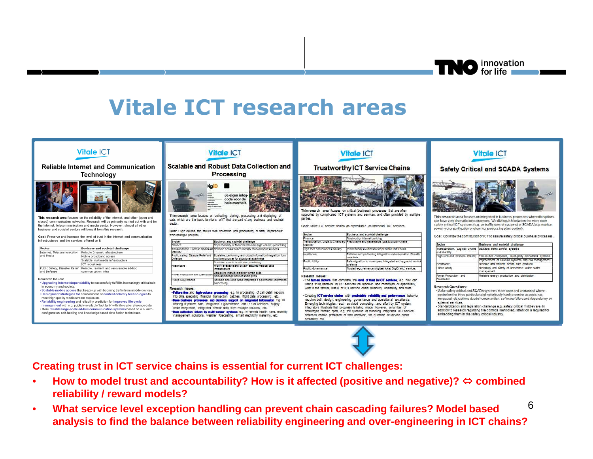**TNO** innovation

# **Vitale ICT research areas**



**Creating trust in ICT service chains is essential for current ICT challenges:** 

- • **How to model trust and accountability? How is it affected (positive and negative)? combined reliability / reward models?**
- 6 **What service level exception handling can prevent chain cascading failures? Model based**  •**analysis to find the balance between reliability engineering and over-engineering in ICT chains?**